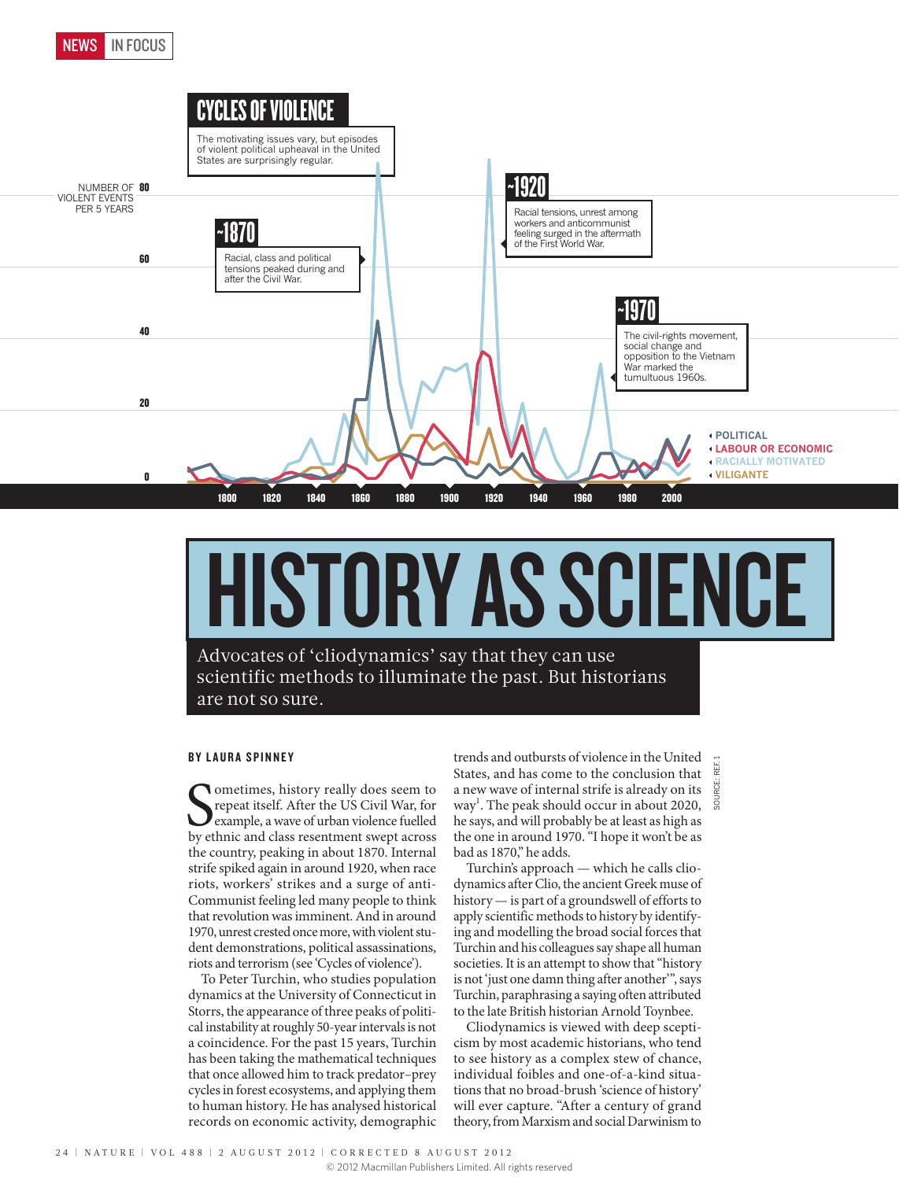

# HISTORY AS SCIENCE

Advocates of 'cliodynamics' say that they can use scientific methods to illuminate the past. But historians are not so sure.

### BY LAURA SPINNEY

Sometimes, history really does seem to repeat itself. After the US Civil War, for example, a wave of urban violence fuelled by ethnic and class resentment swept across ometimes, history really does seem to repeat itself. After the US Civil War, for example, a wave of urban violence fuelled the country, peaking in about 1870. Internal strife spiked again in around 1920, when race riots, workers' strikes and a surge of anti-Communist feeling led many people to think that revolution was imminent. And in around 1970, unrest crested once more, with violent student demonstrations, political assassinations, riots and terrorism (see 'Cycles of violence').

To Peter Turchin, who studies population dynamics at the University of Connecticut in Storrs, the appearance of three peaks of political instability at roughly 50-year intervals is not a coincidence. For the past 15 years, Turchin has been taking the mathematical techniques that once allowed him to track predator–prey cycles in forest ecosystems, and applying them to human history. He has analysed historical records on economic activity, demographic

trends and outbursts of violence in the United States, and has come to the conclusion that a new wave of internal strife is already on its way<sup>1</sup>. The peak should occur in about 2020, he says, and will probably be at least as high as the one in around 1970. "I hope it won't be as bad as 1870," he adds. SOURCE: REF. 1

Turchin's approach — which he calls cliodynamics after Clio, the ancient Greek muse of history — is part of a groundswell of efforts to apply scientific methods to history by identifying and modelling the broad social forces that Turchin and his colleagues say shape all human societies. It is an attempt to show that "history is not 'just one damn thing after another'", says Turchin, paraphrasing a saying often attributed to the late British historian Arnold Toynbee.

Cliodynamics is viewed with deep scepticism by most academic historians, who tend to see history as a complex stew of chance, individual foibles and one-of-a-kind situations that no broad-brush 'science of history' will ever capture. "After a century of grand theory, from Marxism and social Darwinism to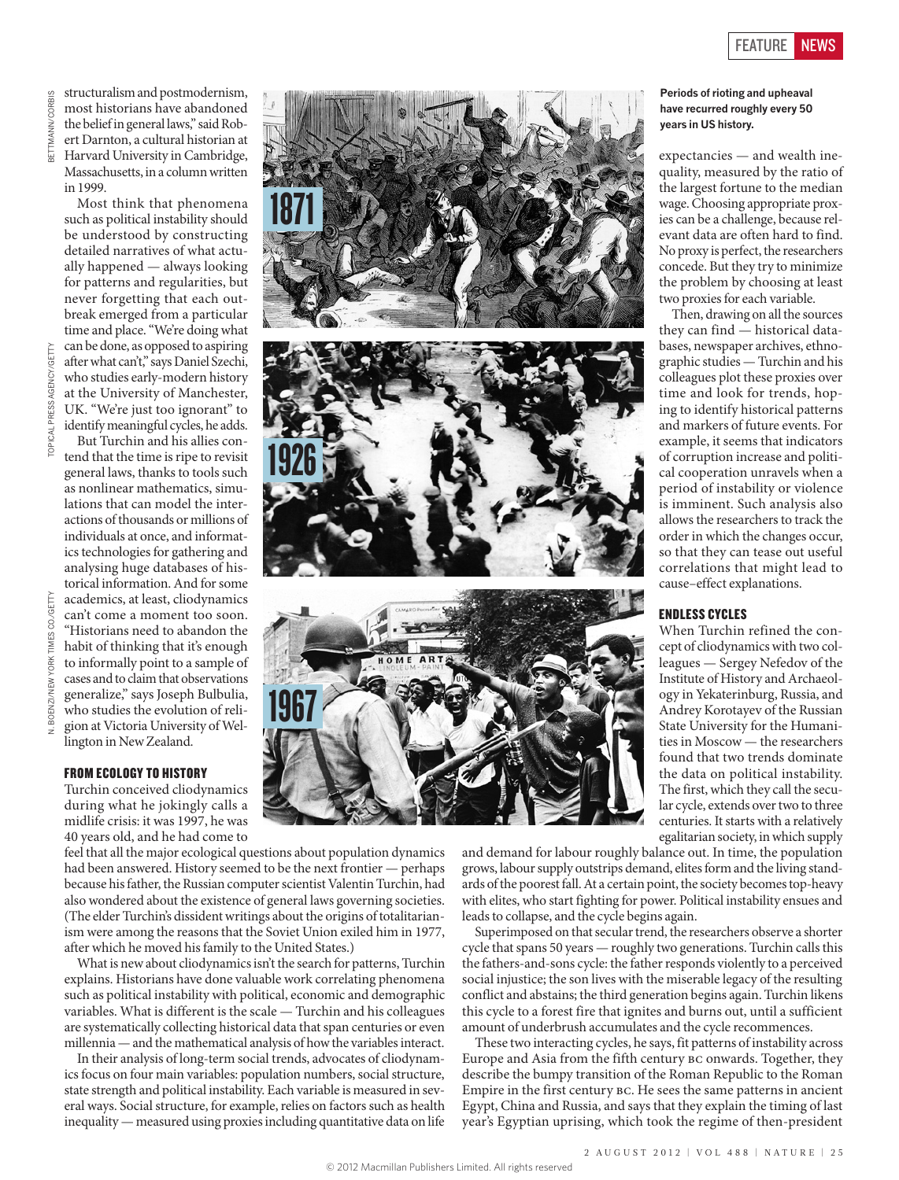Then, drawing on all the sources

structuralism and postmodernism, most historians have abandoned the belief in general laws," said Robert Darnton, a cultural historian at Harvard University in Cambridge, Massachusetts, in a column written in 1999.

Most think that phenomena such as political instability should be understood by constructing detailed narratives of what actually happened — always looking for patterns and regularities, but never forgetting that each outbreak emerged from a particular time and place. "We're doing what can be done, as opposed to aspiring after what can't," says Daniel Szechi, who studies early-modern history at the University of Manchester, UK. "We're just too ignorant" to

PRESS AGENCY/GETTY TOPICAL PRESS AGENCY/GETTY

CO./GETTY N. BOENZI/NEW YORK TIMES CO./GETTY **ORK V. BOENZI/NEW**  identify meaningful cycles, he adds. But Turchin and his allies contend that the time is ripe to revisit general laws, thanks to tools such as nonlinear mathematics, simulations that can model the interactions of thousands or millions of individuals at once, and informatics technologies for gathering and analysing huge databases of historical information. And for some academics, at least, cliodynamics can't come a moment too soon. "Historians need to abandon the habit of thinking that it's enough to informally point to a sample of cases and to claim that observations generalize," says Joseph Bulbulia, who studies the evolution of religion at Victoria University of Wellington in New Zealand.

#### FROM ECOLOGY TO HISTORY

Turchin conceived cliodynamics during what he jokingly calls a midlife crisis: it was 1997, he was 40 years old, and he had come to

feel that all the major ecological questions about population dynamics had been answered. History seemed to be the next frontier — perhaps because his father, the Russian computer scientist Valentin Turchin, had also wondered about the existence of general laws governing societies. (The elder Turchin's dissident writings about the origins of totalitarianism were among the reasons that the Soviet Union exiled him in 1977, after which he moved his family to the United States.)

What is new about cliodynamics isn't the search for patterns, Turchin explains. Historians have done valuable work correlating phenomena such as political instability with political, economic and demographic variables. What is different is the scale — Turchin and his colleagues are systematically collecting historical data that span centuries or even millennia — and the mathematical analysis of how the variables interact.

In their analysis of long-term social trends, advocates of cliodynamics focus on four main variables: population numbers, social structure, state strength and political instability. Each variable is measured in several ways. Social structure, for example, relies on factors such as health inequality — measured using proxies including quantitative data on life



and demand for labour roughly balance out. In time, the population grows, labour supply outstrips demand, elites form and the living standards of the poorest fall. At a certain point, the society becomes top-heavy with elites, who start fighting for power. Political instability ensues and leads to collapse, and the cycle begins again.

Superimposed on that secular trend, the researchers observe a shorter cycle that spans 50 years — roughly two generations. Turchin calls this the fathers-and-sons cycle: the father responds violently to a perceived social injustice; the son lives with the miserable legacy of the resulting conflict and abstains; the third generation begins again. Turchin likens this cycle to a forest fire that ignites and burns out, until a sufficient amount of underbrush accumulates and the cycle recommences.

These two interacting cycles, he says, fit patterns of instability across Europe and Asia from the fifth century bc onwards. Together, they describe the bumpy transition of the Roman Republic to the Roman Empire in the first century bc. He sees the same patterns in ancient Egypt, China and Russia, and says that they explain the timing of last year's Egyptian uprising, which took the regime of then-president